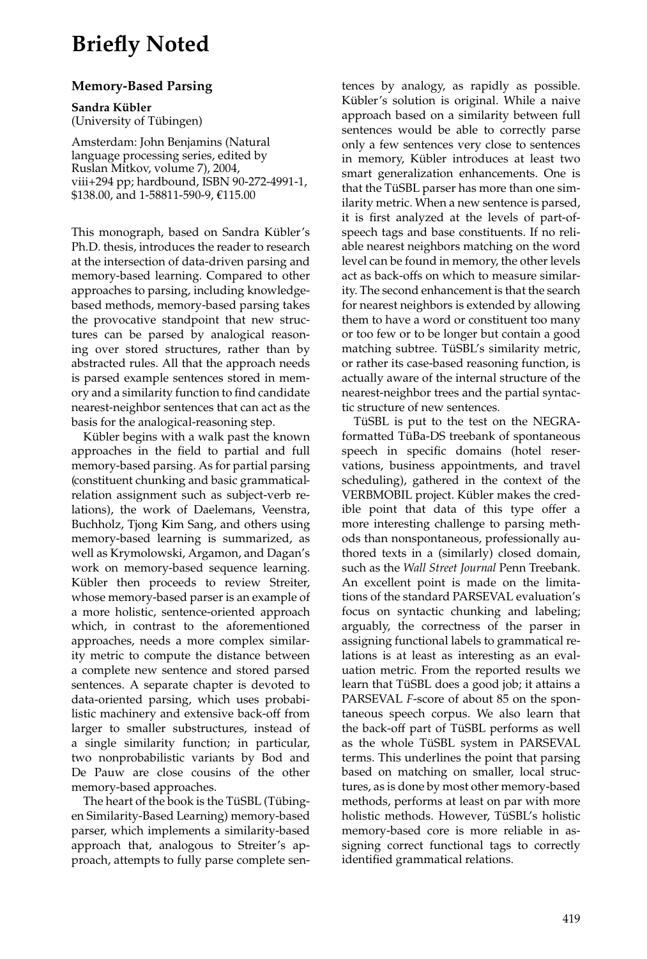## **Briefly Noted**

## **Memory-Based Parsing**

**Sandra K ¨ubler**

(University of Tübingen)

Amsterdam: John Benjamins (Natural language processing series, edited by Ruslan Mitkov, volume 7), 2004, viii+294 pp; hardbound, ISBN 90-272-4991-1, \$138.00, and 1-58811-590-9, €115.00

This monograph, based on Sandra Kübler's Ph.D. thesis, introduces the reader to research at the intersection of data-driven parsing and memory-based learning. Compared to other approaches to parsing, including knowledgebased methods, memory-based parsing takes the provocative standpoint that new structures can be parsed by analogical reasoning over stored structures, rather than by abstracted rules. All that the approach needs is parsed example sentences stored in memory and a similarity function to find candidate nearest-neighbor sentences that can act as the basis for the analogical-reasoning step.

Kübler begins with a walk past the known approaches in the field to partial and full memory-based parsing. As for partial parsing (constituent chunking and basic grammaticalrelation assignment such as subject-verb relations), the work of Daelemans, Veenstra, Buchholz, Tjong Kim Sang, and others using memory-based learning is summarized, as well as Krymolowski, Argamon, and Dagan's work on memory-based sequence learning. Kübler then proceeds to review Streiter, whose memory-based parser is an example of a more holistic, sentence-oriented approach which, in contrast to the aforementioned approaches, needs a more complex similarity metric to compute the distance between a complete new sentence and stored parsed sentences. A separate chapter is devoted to data-oriented parsing, which uses probabilistic machinery and extensive back-off from larger to smaller substructures, instead of a single similarity function; in particular, two nonprobabilistic variants by Bod and De Pauw are close cousins of the other memory-based approaches.

The heart of the book is the TüSBL (Tübingen Similarity-Based Learning) memory-based parser, which implements a similarity-based approach that, analogous to Streiter's approach, attempts to fully parse complete sentences by analogy, as rapidly as possible. Kübler's solution is original. While a naive approach based on a similarity between full sentences would be able to correctly parse only a few sentences very close to sentences in memory, Kübler introduces at least two smart generalization enhancements. One is that the TüSBL parser has more than one similarity metric. When a new sentence is parsed, it is first analyzed at the levels of part-ofspeech tags and base constituents. If no reliable nearest neighbors matching on the word level can be found in memory, the other levels act as back-offs on which to measure similarity. The second enhancement is that the search for nearest neighbors is extended by allowing them to have a word or constituent too many or too few or to be longer but contain a good matching subtree. TüSBL's similarity metric, or rather its case-based reasoning function, is actually aware of the internal structure of the nearest-neighbor trees and the partial syntactic structure of new sentences.

TüSBL is put to the test on the NEGRAformatted TüBa-DS treebank of spontaneous speech in specific domains (hotel reservations, business appointments, and travel scheduling), gathered in the context of the VERBMOBIL project. Kübler makes the credible point that data of this type offer a more interesting challenge to parsing methods than nonspontaneous, professionally authored texts in a (similarly) closed domain, such as the *Wall Street Journal* Penn Treebank. An excellent point is made on the limitations of the standard PARSEVAL evaluation's focus on syntactic chunking and labeling; arguably, the correctness of the parser in assigning functional labels to grammatical relations is at least as interesting as an evaluation metric. From the reported results we learn that TüSBL does a good job; it attains a PARSEVAL *F*-score of about 85 on the spontaneous speech corpus. We also learn that the back-off part of TüSBL performs as well as the whole TüSBL system in PARSEVAL terms. This underlines the point that parsing based on matching on smaller, local structures, as is done by most other memory-based methods, performs at least on par with more holistic methods. However, TüSBL's holistic memory-based core is more reliable in assigning correct functional tags to correctly identified grammatical relations.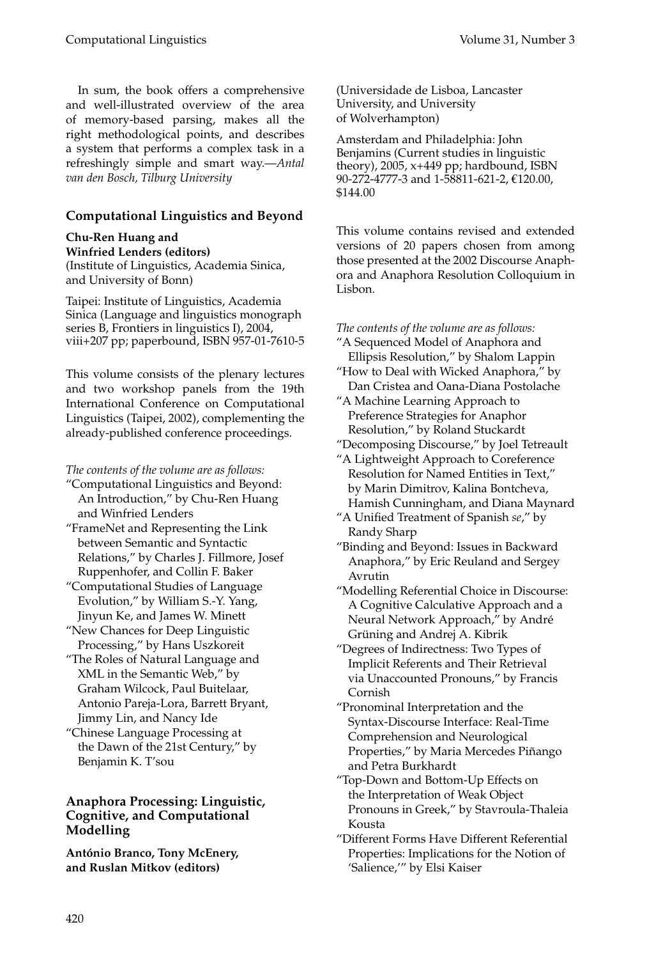In sum, the book offers a comprehensive and well-illustrated overview of the area of memory-based parsing, makes all the right methodological points, and describes a system that performs a complex task in a refreshingly simple and smart way.—*Antal van den Bosch, Tilburg University*

## **Computational Linguistics and Beyond**

**Chu-Ren Huang and Winfried Lenders (editors)** (Institute of Linguistics, Academia Sinica,

and University of Bonn)

Taipei: Institute of Linguistics, Academia Sinica (Language and linguistics monograph series B, Frontiers in linguistics I), 2004, viii+207 pp; paperbound, ISBN 957-01-7610-5

This volume consists of the plenary lectures and two workshop panels from the 19th International Conference on Computational Linguistics (Taipei, 2002), complementing the already-published conference proceedings.

*The contents of the volume are as follows:*

- "Computational Linguistics and Beyond: An Introduction," by Chu-Ren Huang and Winfried Lenders
- "FrameNet and Representing the Link between Semantic and Syntactic Relations," by Charles J. Fillmore, Josef Ruppenhofer, and Collin F. Baker
- "Computational Studies of Language Evolution," by William S.-Y. Yang, Jinyun Ke, and James W. Minett
- "New Chances for Deep Linguistic Processing," by Hans Uszkoreit
- "The Roles of Natural Language and XML in the Semantic Web," by Graham Wilcock, Paul Buitelaar, Antonio Pareja-Lora, Barrett Bryant, Jimmy Lin, and Nancy Ide
- "Chinese Language Processing at the Dawn of the 21st Century," by Benjamin K. T'sou

## **Anaphora Processing: Linguistic, Cognitive, and Computational Modelling**

**António Branco, Tony McEnery, and Ruslan Mitkov (editors)**

(Universidade de Lisboa, Lancaster University, and University of Wolverhampton)

Amsterdam and Philadelphia: John Benjamins (Current studies in linguistic theory), 2005, x+449 pp; hardbound, ISBN 90-272-4777-3 and 1-58811-621-2, €120.00, \$144.00

This volume contains revised and extended versions of 20 papers chosen from among those presented at the 2002 Discourse Anaphora and Anaphora Resolution Colloquium in Lisbon.

*The contents of the volume are as follows:*

- "A Sequenced Model of Anaphora and Ellipsis Resolution," by Shalom Lappin
- "How to Deal with Wicked Anaphora," by Dan Cristea and Oana-Diana Postolache
- "A Machine Learning Approach to Preference Strategies for Anaphor Resolution," by Roland Stuckardt
- "Decomposing Discourse," by Joel Tetreault
- "A Lightweight Approach to Coreference Resolution for Named Entities in Text," by Marin Dimitrov, Kalina Bontcheva, Hamish Cunningham, and Diana Maynard
- "A Unified Treatment of Spanish *se*," by Randy Sharp
- "Binding and Beyond: Issues in Backward Anaphora," by Eric Reuland and Sergey Avrutin
- "Modelling Referential Choice in Discourse: A Cognitive Calculative Approach and a Neural Network Approach," by André Grüning and Andrej A. Kibrik
- "Degrees of Indirectness: Two Types of Implicit Referents and Their Retrieval via Unaccounted Pronouns," by Francis Cornish
- "Pronominal Interpretation and the Syntax-Discourse Interface: Real-Time Comprehension and Neurological Properties," by Maria Mercedes Piñango and Petra Burkhardt
- "Top-Down and Bottom-Up Effects on the Interpretation of Weak Object Pronouns in Greek," by Stavroula-Thaleia Kousta
- "Different Forms Have Different Referential Properties: Implications for the Notion of 'Salience,'" by Elsi Kaiser